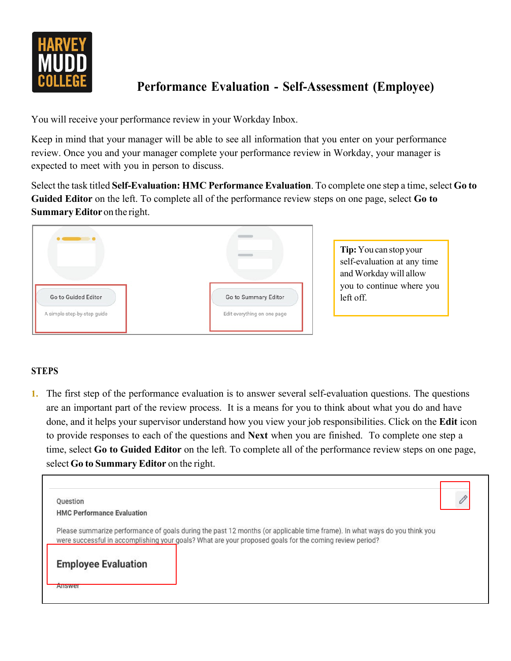

## **Performance Evaluation - Self-Assessment (Employee)**

You will receive your performance review in your Workday Inbox.

Keep in mind that your manager will be able to see all information that you enter on your performance review. Once you and your manager complete your performance review in Workday, your manager is expected to meet with you in person to discuss.

Select the task titled Self-Evaluation: HMC Performance Evaluation. To complete one step a time, select Go to **Guided Editor** on the left. To complete all of the performance review steps on one page, select **Go to SummaryEditor** on the right.



**Tip:**You can stop your self-evaluation at any time and Workday will allow you to continue where you left off.

## **STEPS**

**1.** The first step of the performance evaluation is to answer several self-evaluation questions. The questions are an important part of the review process. It is a means for you to think about what you do and have done, and it helps your supervisor understand how you view your job responsibilities. Click on the **Edit** icon to provide responses to each of the questions and **Next** when you are finished. To complete one step a time, select **Go to Guided Editor** on the left. To complete all of the performance review steps on one page, select **Go to Summary Editor** on the right.

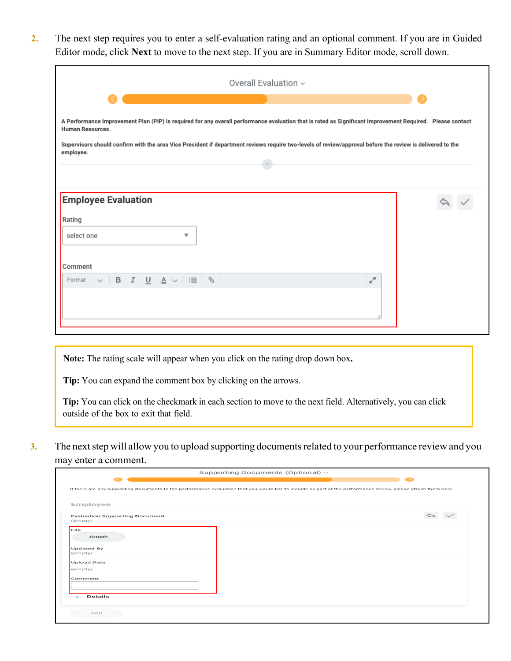**2.** The next step requires you to enter a self-evaluation rating and an optional comment. If you are in Guided Editor mode, click **Next** to move to the next step. If you are in Summary Editor mode, scroll down.

| Overall Evaluation ~                                                                                                                                                                                                                                                                                                                                                          |  |  |
|-------------------------------------------------------------------------------------------------------------------------------------------------------------------------------------------------------------------------------------------------------------------------------------------------------------------------------------------------------------------------------|--|--|
| A Performance Improvement Plan (PIP) is required for any overall performance evaluation that is rated as Significant Improvement Required. Please contact<br>Human Resources.<br>Supervisors should confirm with the area Vice President if department reviews require two-levels of review/approval before the review is delivered to the<br>employee.<br>$\curvearrowright$ |  |  |
| <b>Employee Evaluation</b><br>Rating<br>select one<br>▼                                                                                                                                                                                                                                                                                                                       |  |  |
| Comment<br>U A ▽   ;≣ │ % │<br>$\mathbb{R}^{\overline{\mathbb{N}}}$<br>B I<br>Format<br>$\checkmark$                                                                                                                                                                                                                                                                          |  |  |

**Note:** The rating scale will appear when you click on the rating drop down box**.**

**Tip:** You can expand the comment box by clicking on the arrows.

**Tip:** You can click on the checkmark in each section to move to the next field. Alternatively, you can click outside of the box to exit that field.

**3.** The next step will allow you to upload supporting documents related to your performance review and you may enter a comment.

| Supporting Documents (Optional) ~                                                                                                                              |  |
|----------------------------------------------------------------------------------------------------------------------------------------------------------------|--|
|                                                                                                                                                                |  |
| If there are any supporting documents to the performance evaluation that you would like to include as part of the performance review, please attach them here. |  |
|                                                                                                                                                                |  |
| Employee                                                                                                                                                       |  |
|                                                                                                                                                                |  |
| <b>Evaluation Supporting Document</b><br>(empty)                                                                                                               |  |
|                                                                                                                                                                |  |
| File                                                                                                                                                           |  |
| Attach                                                                                                                                                         |  |
|                                                                                                                                                                |  |
| <b>Updated By</b>                                                                                                                                              |  |
| (empty)                                                                                                                                                        |  |
| <b>Upload Date</b>                                                                                                                                             |  |
| (empty)                                                                                                                                                        |  |
|                                                                                                                                                                |  |
| Comment                                                                                                                                                        |  |
|                                                                                                                                                                |  |
| <b>Details</b><br>$\sim$                                                                                                                                       |  |
|                                                                                                                                                                |  |
|                                                                                                                                                                |  |
| Add                                                                                                                                                            |  |
|                                                                                                                                                                |  |